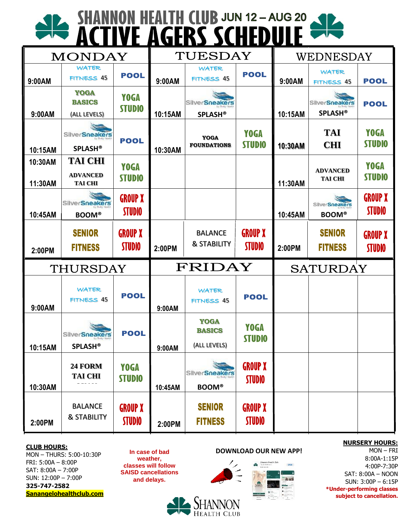# SHANNON HEALTH CLUB JUN 12-AUG 20

| <b>MONDAY</b>      |                                                     |                                 | TUESDAY |                                              |                                 | WEDNESDAY       |                                         |                                 |
|--------------------|-----------------------------------------------------|---------------------------------|---------|----------------------------------------------|---------------------------------|-----------------|-----------------------------------------|---------------------------------|
| 9:00AM             | WATER<br><b>FITNESS 45</b>                          | <b>POOL</b>                     | 9:00AM  | WATER<br><b>FITNESS 45</b>                   | <b>POOL</b>                     | 9:00AM          | WATER<br><b>FITNESS 45</b>              | <b>POOL</b>                     |
| 9:00AM             | <b>YOGA</b><br><b>BASICS</b><br>(ALL LEVELS)        | <b>YOGA</b><br><b>STUDIO</b>    | 10:15AM | SilverSneakers<br><b>SPLASH®</b>             |                                 | 10:15AM         | <b>SilverSneakers</b><br><b>SPLASH®</b> | <b>POOL</b>                     |
| 10:15AM            | SilverSneakers<br><b>SPLASH®</b>                    | <b>POOL</b>                     | 10:30AM | <b>YOGA</b><br><b>FOUNDATIONS</b>            | <b>YOGA</b><br><b>STUDIO</b>    | 10:30AM         | <b>TAI</b><br><b>CHI</b>                | <b>YOGA</b><br><b>STUDIO</b>    |
| 10:30AM<br>11:30AM | <b>TAI CHI</b><br><b>ADVANCED</b><br><b>TAI CHI</b> | <b>YOGA</b><br><b>STUDIO</b>    |         |                                              |                                 | 11:30AM         | <b>ADVANCED</b><br><b>TAI CHI</b>       | <b>YOGA</b><br><b>STUDIO</b>    |
| 10:45AM            | SilverSneakers<br><b>BOOM®</b>                      | <b>GROUP X</b><br><b>STUDIO</b> |         |                                              |                                 | 10:45AM         | <b>SilverSneakers</b><br><b>BOOM®</b>   | <b>GROUP X</b><br><b>STUDIO</b> |
| 2:00PM             | <b>SENIOR</b><br><b>FITNESS</b>                     | <b>GROUP X</b><br><b>STUDIO</b> | 2:00PM  | <b>BALANCE</b><br><b>&amp; STABILITY</b>     | <b>GROUP X</b><br><b>STUDIO</b> | 2:00PM          | <b>SENIOR</b><br><b>FITNESS</b>         | <b>GROUP X</b><br><b>STUDIO</b> |
| THURSDAY           |                                                     |                                 | FRIDAY  |                                              |                                 | <b>SATURDAY</b> |                                         |                                 |
|                    |                                                     |                                 |         |                                              |                                 |                 |                                         |                                 |
| 9:00AM             | WATER<br>FITNESS 45                                 | <b>POOL</b>                     | 9:00AM  | WATER<br>FITNESS 45                          | <b>POOL</b>                     |                 |                                         |                                 |
| 10:15AM            | <b>SilverSneakers</b><br><b>SPLASH®</b>             | <b>POOL</b>                     | 9:00AM  | <b>YOGA</b><br><b>BASICS</b><br>(ALL LEVELS) | <b>YOGA</b><br><b>STUDIO</b>    |                 |                                         |                                 |
| 10:30AM            | 24 FORM<br><b>TAI CHI</b>                           | <b>YOGA</b><br><b>STUDIO</b>    | 10:45AM | SilverSneakers<br><b>BOOM®</b>               | <b>GROUP X</b><br><b>STUDIO</b> |                 |                                         |                                 |

#### **CLUB HOURS:**

MON – THURS: 5:00-10:30P FRI: 5:00A – 8:00P SAT: 8:00A – 7:00P SUN: 12:00P – 7:00P **325-747-2582 Sanangelohealthclub.com**

**weather, classes will follow SAISD cancellations and delays.**

#### **In case of bad DOWNLOAD OUR NEW APP!**



#### **NURSERY HOURS:** MON – FRI

8:00A-1:15P 4:00P-7:30P SAT: 8:00A – NOON SUN: 3:00P – 6:15P **\*Under-performing classes subject to cancellation.**